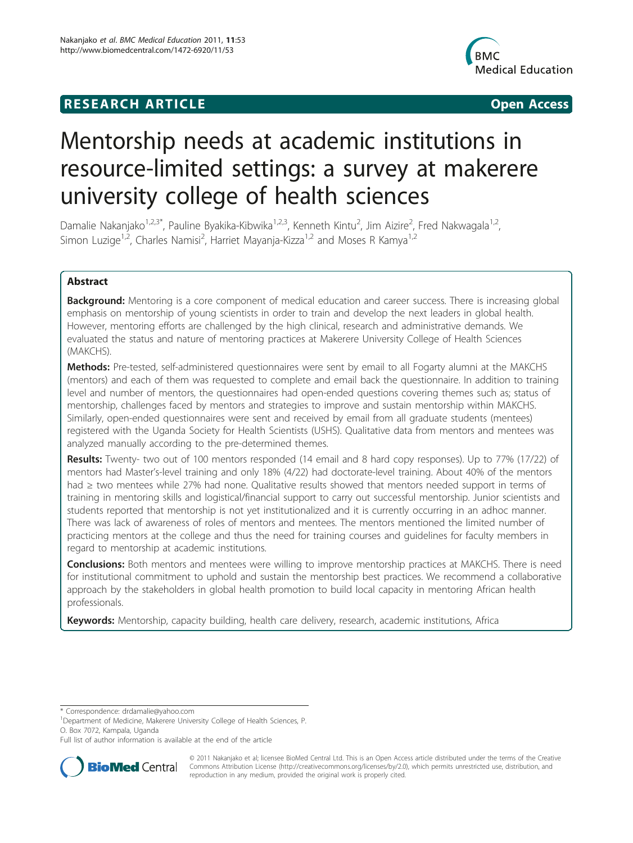# **RESEARCH ARTICLE Example 2018 12:00 Open Access**



# Mentorship needs at academic institutions in resource-limited settings: a survey at makerere university college of health sciences

Damalie Nakanjako<sup>1,2,3\*</sup>, Pauline Byakika-Kibwika<sup>1,2,3</sup>, Kenneth Kintu<sup>2</sup>, Jim Aizire<sup>2</sup>, Fred Nakwagala<sup>1,2</sup>, Simon Luzige<sup>1,2</sup>, Charles Namisi<sup>2</sup>, Harriet Mayanja-Kizza<sup>1,2</sup> and Moses R Kamya<sup>1,2</sup>

# Abstract

**Background:** Mentoring is a core component of medical education and career success. There is increasing global emphasis on mentorship of young scientists in order to train and develop the next leaders in global health. However, mentoring efforts are challenged by the high clinical, research and administrative demands. We evaluated the status and nature of mentoring practices at Makerere University College of Health Sciences (MAKCHS).

Methods: Pre-tested, self-administered questionnaires were sent by email to all Fogarty alumni at the MAKCHS (mentors) and each of them was requested to complete and email back the questionnaire. In addition to training level and number of mentors, the questionnaires had open-ended questions covering themes such as; status of mentorship, challenges faced by mentors and strategies to improve and sustain mentorship within MAKCHS. Similarly, open-ended questionnaires were sent and received by email from all graduate students (mentees) registered with the Uganda Society for Health Scientists (USHS). Qualitative data from mentors and mentees was analyzed manually according to the pre-determined themes.

Results: Twenty- two out of 100 mentors responded (14 email and 8 hard copy responses). Up to 77% (17/22) of mentors had Master's-level training and only 18% (4/22) had doctorate-level training. About 40% of the mentors had ≥ two mentees while 27% had none. Qualitative results showed that mentors needed support in terms of training in mentoring skills and logistical/financial support to carry out successful mentorship. Junior scientists and students reported that mentorship is not yet institutionalized and it is currently occurring in an adhoc manner. There was lack of awareness of roles of mentors and mentees. The mentors mentioned the limited number of practicing mentors at the college and thus the need for training courses and guidelines for faculty members in regard to mentorship at academic institutions.

**Conclusions:** Both mentors and mentees were willing to improve mentorship practices at MAKCHS. There is need for institutional commitment to uphold and sustain the mentorship best practices. We recommend a collaborative approach by the stakeholders in global health promotion to build local capacity in mentoring African health professionals.

Keywords: Mentorship, capacity building, health care delivery, research, academic institutions, Africa

\* Correspondence: [drdamalie@yahoo.com](mailto:drdamalie@yahoo.com)

<sup>1</sup>Department of Medicine, Makerere University College of Health Sciences, P. O. Box 7072, Kampala, Uganda

Full list of author information is available at the end of the article



© 2011 Nakanjako et al; licensee BioMed Central Ltd. This is an Open Access article distributed under the terms of the Creative Commons Attribution License [\(http://creativecommons.org/licenses/by/2.0](http://creativecommons.org/licenses/by/2.0)), which permits unrestricted use, distribution, and reproduction in any medium, provided the original work is properly cited.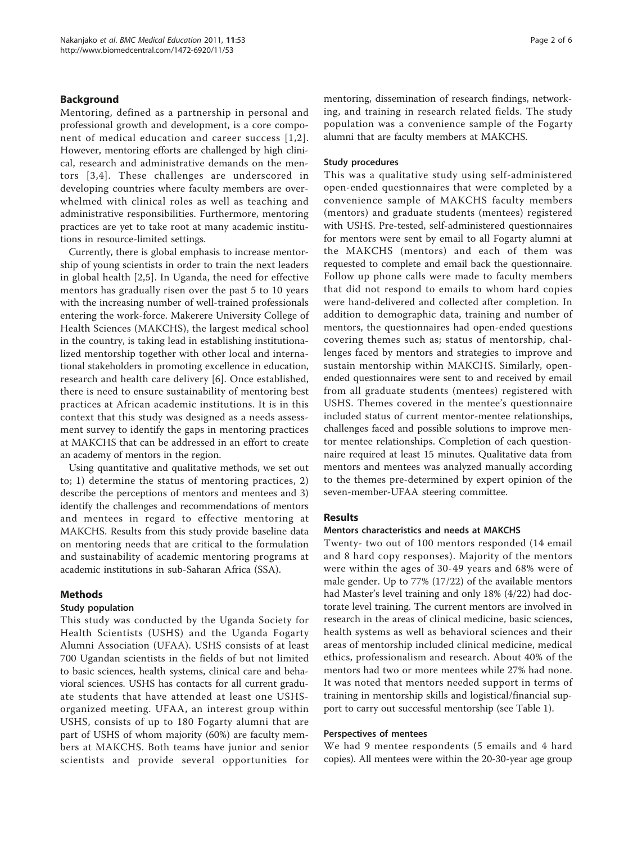# Background

Mentoring, defined as a partnership in personal and professional growth and development, is a core component of medical education and career success [[1,2\]](#page-5-0). However, mentoring efforts are challenged by high clinical, research and administrative demands on the mentors [[3](#page-5-0),[4](#page-5-0)]. These challenges are underscored in developing countries where faculty members are overwhelmed with clinical roles as well as teaching and administrative responsibilities. Furthermore, mentoring practices are yet to take root at many academic institutions in resource-limited settings.

Currently, there is global emphasis to increase mentorship of young scientists in order to train the next leaders in global health [\[2](#page-5-0),[5\]](#page-5-0). In Uganda, the need for effective mentors has gradually risen over the past 5 to 10 years with the increasing number of well-trained professionals entering the work-force. Makerere University College of Health Sciences (MAKCHS), the largest medical school in the country, is taking lead in establishing institutionalized mentorship together with other local and international stakeholders in promoting excellence in education, research and health care delivery [[6\]](#page-5-0). Once established, there is need to ensure sustainability of mentoring best practices at African academic institutions. It is in this context that this study was designed as a needs assessment survey to identify the gaps in mentoring practices at MAKCHS that can be addressed in an effort to create an academy of mentors in the region.

Using quantitative and qualitative methods, we set out to; 1) determine the status of mentoring practices, 2) describe the perceptions of mentors and mentees and 3) identify the challenges and recommendations of mentors and mentees in regard to effective mentoring at MAKCHS. Results from this study provide baseline data on mentoring needs that are critical to the formulation and sustainability of academic mentoring programs at academic institutions in sub-Saharan Africa (SSA).

## Methods

#### Study population

This study was conducted by the Uganda Society for Health Scientists (USHS) and the Uganda Fogarty Alumni Association (UFAA). USHS consists of at least 700 Ugandan scientists in the fields of but not limited to basic sciences, health systems, clinical care and behavioral sciences. USHS has contacts for all current graduate students that have attended at least one USHSorganized meeting. UFAA, an interest group within USHS, consists of up to 180 Fogarty alumni that are part of USHS of whom majority (60%) are faculty members at MAKCHS. Both teams have junior and senior scientists and provide several opportunities for mentoring, dissemination of research findings, networking, and training in research related fields. The study population was a convenience sample of the Fogarty alumni that are faculty members at MAKCHS.

#### Study procedures

This was a qualitative study using self-administered open-ended questionnaires that were completed by a convenience sample of MAKCHS faculty members (mentors) and graduate students (mentees) registered with USHS. Pre-tested, self-administered questionnaires for mentors were sent by email to all Fogarty alumni at the MAKCHS (mentors) and each of them was requested to complete and email back the questionnaire. Follow up phone calls were made to faculty members that did not respond to emails to whom hard copies were hand-delivered and collected after completion. In addition to demographic data, training and number of mentors, the questionnaires had open-ended questions covering themes such as; status of mentorship, challenges faced by mentors and strategies to improve and sustain mentorship within MAKCHS. Similarly, openended questionnaires were sent to and received by email from all graduate students (mentees) registered with USHS. Themes covered in the mentee's questionnaire included status of current mentor-mentee relationships, challenges faced and possible solutions to improve mentor mentee relationships. Completion of each questionnaire required at least 15 minutes. Qualitative data from mentors and mentees was analyzed manually according to the themes pre-determined by expert opinion of the seven-member-UFAA steering committee.

#### Results

#### Mentors characteristics and needs at MAKCHS

Twenty- two out of 100 mentors responded (14 email and 8 hard copy responses). Majority of the mentors were within the ages of 30-49 years and 68% were of male gender. Up to 77% (17/22) of the available mentors had Master's level training and only 18% (4/22) had doctorate level training. The current mentors are involved in research in the areas of clinical medicine, basic sciences, health systems as well as behavioral sciences and their areas of mentorship included clinical medicine, medical ethics, professionalism and research. About 40% of the mentors had two or more mentees while 27% had none. It was noted that mentors needed support in terms of training in mentorship skills and logistical/financial support to carry out successful mentorship (see Table [1](#page-2-0)).

#### Perspectives of mentees

We had 9 mentee respondents (5 emails and 4 hard copies). All mentees were within the 20-30-year age group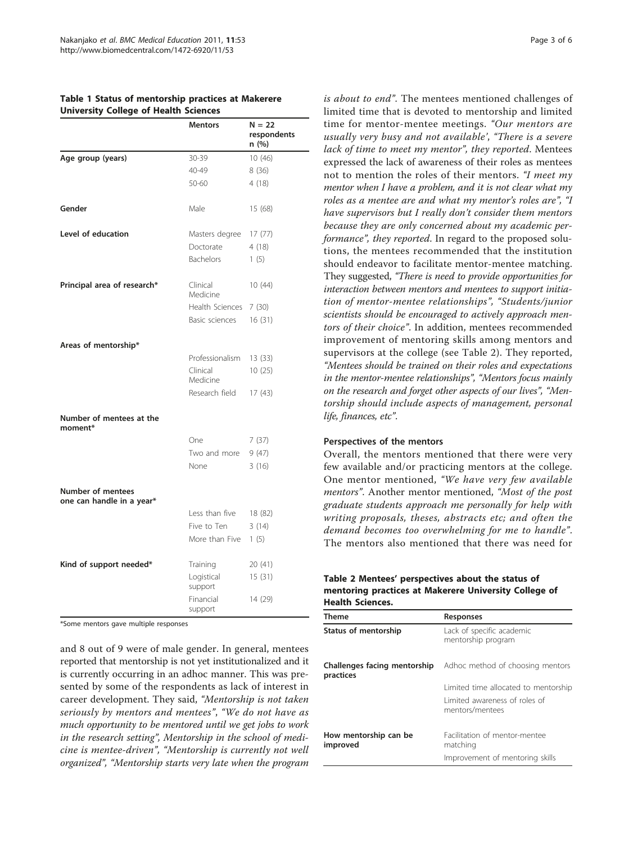<span id="page-2-0"></span>

| Table 1 Status of mentorship practices at Makerere |  |
|----------------------------------------------------|--|
| <b>University College of Health Sciences</b>       |  |

|                                                       | <b>Mentors</b>        | $N = 22$<br>respondents |
|-------------------------------------------------------|-----------------------|-------------------------|
|                                                       |                       | n (%)                   |
| Age group (years)                                     | 30-39                 | 10 (46)                 |
|                                                       | 40-49                 | 8(36)                   |
|                                                       | $50 - 60$             | 4(18)                   |
| Gender                                                | Male                  | 15 (68)                 |
| Level of education                                    | Masters degree        | 17(77)                  |
|                                                       | Doctorate             | 4 (18)                  |
|                                                       | <b>Bachelors</b>      | 1(5)                    |
| Principal area of research*                           | Clinical<br>Medicine  | 10(44)                  |
|                                                       | Health Sciences       | 7(30)                   |
|                                                       | Basic sciences        | 16(31)                  |
| Areas of mentorship*                                  |                       |                         |
|                                                       | Professionalism       | 13(33)                  |
|                                                       | Clinical<br>Medicine  | 10(25)                  |
|                                                       | Research field        | 17(43)                  |
| Number of mentees at the<br>moment*                   |                       |                         |
|                                                       | <b>One</b>            | 7(37)                   |
|                                                       | Two and more          | 9(47)                   |
|                                                       | None                  | 3(16)                   |
| <b>Number of mentees</b><br>one can handle in a year* |                       |                         |
|                                                       | Less than five        | 18 (82)                 |
|                                                       | Five to Ten           | 3(14)                   |
|                                                       | More than Five        | 1(5)                    |
| Kind of support needed*                               | Training              | 20(41)                  |
|                                                       | Logistical<br>support | 15 (31)                 |
|                                                       | Financial<br>support  | 14 (29)                 |

\*Some mentors gave multiple responses

and 8 out of 9 were of male gender. In general, mentees reported that mentorship is not yet institutionalized and it is currently occurring in an adhoc manner. This was presented by some of the respondents as lack of interest in career development. They said, "Mentorship is not taken seriously by mentors and mentees", "We do not have as much opportunity to be mentored until we get jobs to work in the research setting", Mentorship in the school of medicine is mentee-driven", "Mentorship is currently not well organized", "Mentorship starts very late when the program

is about to end". The mentees mentioned challenges of limited time that is devoted to mentorship and limited time for mentor-mentee meetings. "Our mentors are usually very busy and not available', "There is a severe lack of time to meet my mentor", they reported. Mentees expressed the lack of awareness of their roles as mentees not to mention the roles of their mentors. "I meet my mentor when I have a problem, and it is not clear what my roles as a mentee are and what my mentor's roles are", "I have supervisors but I really don't consider them mentors because they are only concerned about my academic performance", they reported. In regard to the proposed solutions, the mentees recommended that the institution should endeavor to facilitate mentor-mentee matching. They suggested, "There is need to provide opportunities for interaction between mentors and mentees to support initiation of mentor-mentee relationships", "Students/junior scientists should be encouraged to actively approach mentors of their choice". In addition, mentees recommended improvement of mentoring skills among mentors and supervisors at the college (see Table 2). They reported, "Mentees should be trained on their roles and expectations in the mentor-mentee relationships", "Mentors focus mainly on the research and forget other aspects of our lives", "Mentorship should include aspects of management, personal life, finances, etc".

# Perspectives of the mentors

Overall, the mentors mentioned that there were very few available and/or practicing mentors at the college. One mentor mentioned, "We have very few available mentors". Another mentor mentioned, "Most of the post graduate students approach me personally for help with writing proposals, theses, abstracts etc; and often the demand becomes too overwhelming for me to handle". The mentors also mentioned that there was need for

Table 2 Mentees' perspectives about the status of mentoring practices at Makerere University College of Health Sciences.

| <b>Theme</b>                              | Responses                                        |
|-------------------------------------------|--------------------------------------------------|
| Status of mentorship                      | Lack of specific academic<br>mentorship program  |
| Challenges facing mentorship<br>practices | Adhoc method of choosing mentors                 |
|                                           | Limited time allocated to mentorship             |
|                                           | Limited awareness of roles of<br>mentors/mentees |
| How mentorship can be<br>improved         | Facilitation of mentor-mentee<br>matching        |
|                                           | Improvement of mentoring skills                  |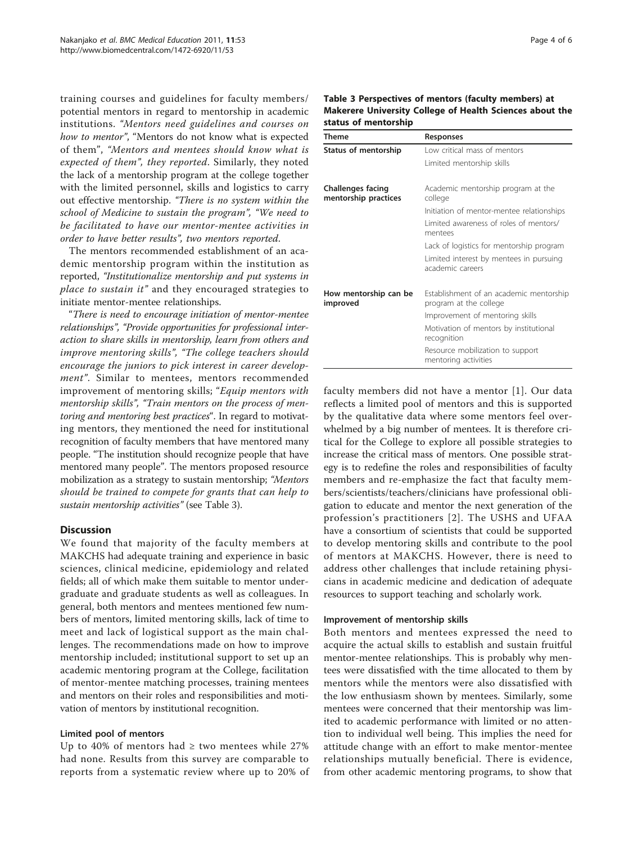training courses and guidelines for faculty members/ potential mentors in regard to mentorship in academic institutions. "Mentors need guidelines and courses on how to mentor", "Mentors do not know what is expected of them", "Mentors and mentees should know what is expected of them", they reported. Similarly, they noted the lack of a mentorship program at the college together with the limited personnel, skills and logistics to carry out effective mentorship. "There is no system within the school of Medicine to sustain the program", "We need to be facilitated to have our mentor-mentee activities in order to have better results", two mentors reported.

The mentors recommended establishment of an academic mentorship program within the institution as reported, "Institutionalize mentorship and put systems in place to sustain it" and they encouraged strategies to initiate mentor-mentee relationships.

"There is need to encourage initiation of mentor-mentee relationships", "Provide opportunities for professional interaction to share skills in mentorship, learn from others and improve mentoring skills", "The college teachers should encourage the juniors to pick interest in career development". Similar to mentees, mentors recommended improvement of mentoring skills; "Equip mentors with mentorship skills", "Train mentors on the process of mentoring and mentoring best practices". In regard to motivating mentors, they mentioned the need for institutional recognition of faculty members that have mentored many people. "The institution should recognize people that have mentored many people". The mentors proposed resource mobilization as a strategy to sustain mentorship; "Mentors should be trained to compete for grants that can help to sustain mentorship activities" (see Table 3).

# **Discussion**

We found that majority of the faculty members at MAKCHS had adequate training and experience in basic sciences, clinical medicine, epidemiology and related fields; all of which make them suitable to mentor undergraduate and graduate students as well as colleagues. In general, both mentors and mentees mentioned few numbers of mentors, limited mentoring skills, lack of time to meet and lack of logistical support as the main challenges. The recommendations made on how to improve mentorship included; institutional support to set up an academic mentoring program at the College, facilitation of mentor-mentee matching processes, training mentees and mentors on their roles and responsibilities and motivation of mentors by institutional recognition.

# Limited pool of mentors

Up to 40% of mentors had  $\geq$  two mentees while 27% had none. Results from this survey are comparable to reports from a systematic review where up to 20% of

| Table 3 Perspectives of mentors (faculty members) at     |
|----------------------------------------------------------|
| Makerere University College of Health Sciences about the |
| status of mentorship                                     |

| Theme                                            | Responses                                                         |
|--------------------------------------------------|-------------------------------------------------------------------|
| Status of mentorship                             | Low critical mass of mentors                                      |
|                                                  | Limited mentorship skills                                         |
| <b>Challenges facing</b><br>mentorship practices | Academic mentorship program at the<br>college                     |
|                                                  | Initiation of mentor-mentee relationships                         |
|                                                  | l imited awareness of roles of mentors/<br>mentees                |
|                                                  | Lack of logistics for mentorship program                          |
|                                                  | Limited interest by mentees in pursuing<br>academic careers       |
| How mentorship can be<br>improved                | Establishment of an academic mentorship<br>program at the college |
|                                                  | Improvement of mentoring skills                                   |
|                                                  | Motivation of mentors by institutional<br>recognition             |
|                                                  | Resource mobilization to support<br>mentoring activities          |

faculty members did not have a mentor [[1](#page-5-0)]. Our data reflects a limited pool of mentors and this is supported by the qualitative data where some mentors feel overwhelmed by a big number of mentees. It is therefore critical for the College to explore all possible strategies to increase the critical mass of mentors. One possible strategy is to redefine the roles and responsibilities of faculty members and re-emphasize the fact that faculty members/scientists/teachers/clinicians have professional obligation to educate and mentor the next generation of the profession's practitioners [[2](#page-5-0)]. The USHS and UFAA have a consortium of scientists that could be supported to develop mentoring skills and contribute to the pool of mentors at MAKCHS. However, there is need to address other challenges that include retaining physicians in academic medicine and dedication of adequate resources to support teaching and scholarly work.

## Improvement of mentorship skills

Both mentors and mentees expressed the need to acquire the actual skills to establish and sustain fruitful mentor-mentee relationships. This is probably why mentees were dissatisfied with the time allocated to them by mentors while the mentors were also dissatisfied with the low enthusiasm shown by mentees. Similarly, some mentees were concerned that their mentorship was limited to academic performance with limited or no attention to individual well being. This implies the need for attitude change with an effort to make mentor-mentee relationships mutually beneficial. There is evidence, from other academic mentoring programs, to show that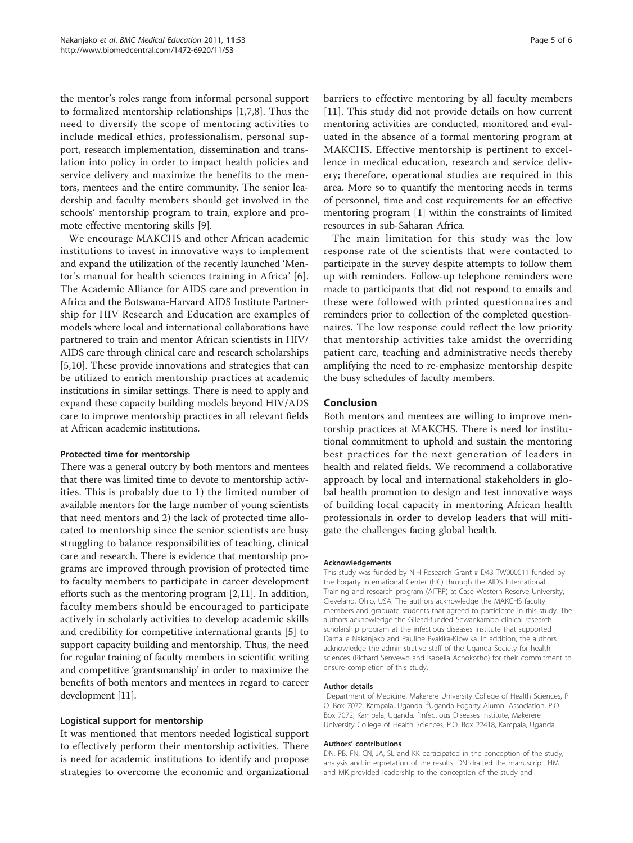the mentor's roles range from informal personal support to formalized mentorship relationships [\[1,7,8](#page-5-0)]. Thus the need to diversify the scope of mentoring activities to include medical ethics, professionalism, personal support, research implementation, dissemination and translation into policy in order to impact health policies and service delivery and maximize the benefits to the mentors, mentees and the entire community. The senior leadership and faculty members should get involved in the schools' mentorship program to train, explore and promote effective mentoring skills [\[9](#page-5-0)].

We encourage MAKCHS and other African academic institutions to invest in innovative ways to implement and expand the utilization of the recently launched 'Mentor's manual for health sciences training in Africa' [[6\]](#page-5-0). The Academic Alliance for AIDS care and prevention in Africa and the Botswana-Harvard AIDS Institute Partnership for HIV Research and Education are examples of models where local and international collaborations have partnered to train and mentor African scientists in HIV/ AIDS care through clinical care and research scholarships [[5,10](#page-5-0)]. These provide innovations and strategies that can be utilized to enrich mentorship practices at academic institutions in similar settings. There is need to apply and expand these capacity building models beyond HIV/ADS care to improve mentorship practices in all relevant fields at African academic institutions.

## Protected time for mentorship

There was a general outcry by both mentors and mentees that there was limited time to devote to mentorship activities. This is probably due to 1) the limited number of available mentors for the large number of young scientists that need mentors and 2) the lack of protected time allocated to mentorship since the senior scientists are busy struggling to balance responsibilities of teaching, clinical care and research. There is evidence that mentorship programs are improved through provision of protected time to faculty members to participate in career development efforts such as the mentoring program [[2,11\]](#page-5-0). In addition, faculty members should be encouraged to participate actively in scholarly activities to develop academic skills and credibility for competitive international grants [\[5](#page-5-0)] to support capacity building and mentorship. Thus, the need for regular training of faculty members in scientific writing and competitive 'grantsmanship' in order to maximize the benefits of both mentors and mentees in regard to career development [[11](#page-5-0)].

#### Logistical support for mentorship

It was mentioned that mentors needed logistical support to effectively perform their mentorship activities. There is need for academic institutions to identify and propose strategies to overcome the economic and organizational barriers to effective mentoring by all faculty members [[11\]](#page-5-0). This study did not provide details on how current mentoring activities are conducted, monitored and evaluated in the absence of a formal mentoring program at MAKCHS. Effective mentorship is pertinent to excellence in medical education, research and service delivery; therefore, operational studies are required in this area. More so to quantify the mentoring needs in terms of personnel, time and cost requirements for an effective mentoring program [[1\]](#page-5-0) within the constraints of limited resources in sub-Saharan Africa.

The main limitation for this study was the low response rate of the scientists that were contacted to participate in the survey despite attempts to follow them up with reminders. Follow-up telephone reminders were made to participants that did not respond to emails and these were followed with printed questionnaires and reminders prior to collection of the completed questionnaires. The low response could reflect the low priority that mentorship activities take amidst the overriding patient care, teaching and administrative needs thereby amplifying the need to re-emphasize mentorship despite the busy schedules of faculty members.

#### Conclusion

Both mentors and mentees are willing to improve mentorship practices at MAKCHS. There is need for institutional commitment to uphold and sustain the mentoring best practices for the next generation of leaders in health and related fields. We recommend a collaborative approach by local and international stakeholders in global health promotion to design and test innovative ways of building local capacity in mentoring African health professionals in order to develop leaders that will mitigate the challenges facing global health.

#### Acknowledgements

This study was funded by NIH Research Grant # D43 TW000011 funded by the Fogarty International Center (FIC) through the AIDS International Training and research program (AITRP) at Case Western Reserve University, Cleveland, Ohio, USA. The authors acknowledge the MAKCHS faculty members and graduate students that agreed to participate in this study. The authors acknowledge the Gilead-funded Sewankambo clinical research scholarship program at the infectious diseases institute that supported Damalie Nakanjako and Pauline Byakika-Kibwika. In addition, the authors acknowledge the administrative staff of the Uganda Society for health sciences (Richard Senvewo and Isabella Achokotho) for their commitment to ensure completion of this study.

#### Author details

<sup>1</sup>Department of Medicine, Makerere University College of Health Sciences, P. O. Box 7072, Kampala, Uganda. <sup>2</sup>Uganda Fogarty Alumni Association, P.O. Box 7072, Kampala, Uganda. <sup>3</sup>Infectious Diseases Institute, Makerere University College of Health Sciences, P.O. Box 22418, Kampala, Uganda.

#### Authors' contributions

DN, PB, FN, CN, JA, SL and KK participated in the conception of the study, analysis and interpretation of the results. DN drafted the manuscript. HM and MK provided leadership to the conception of the study and